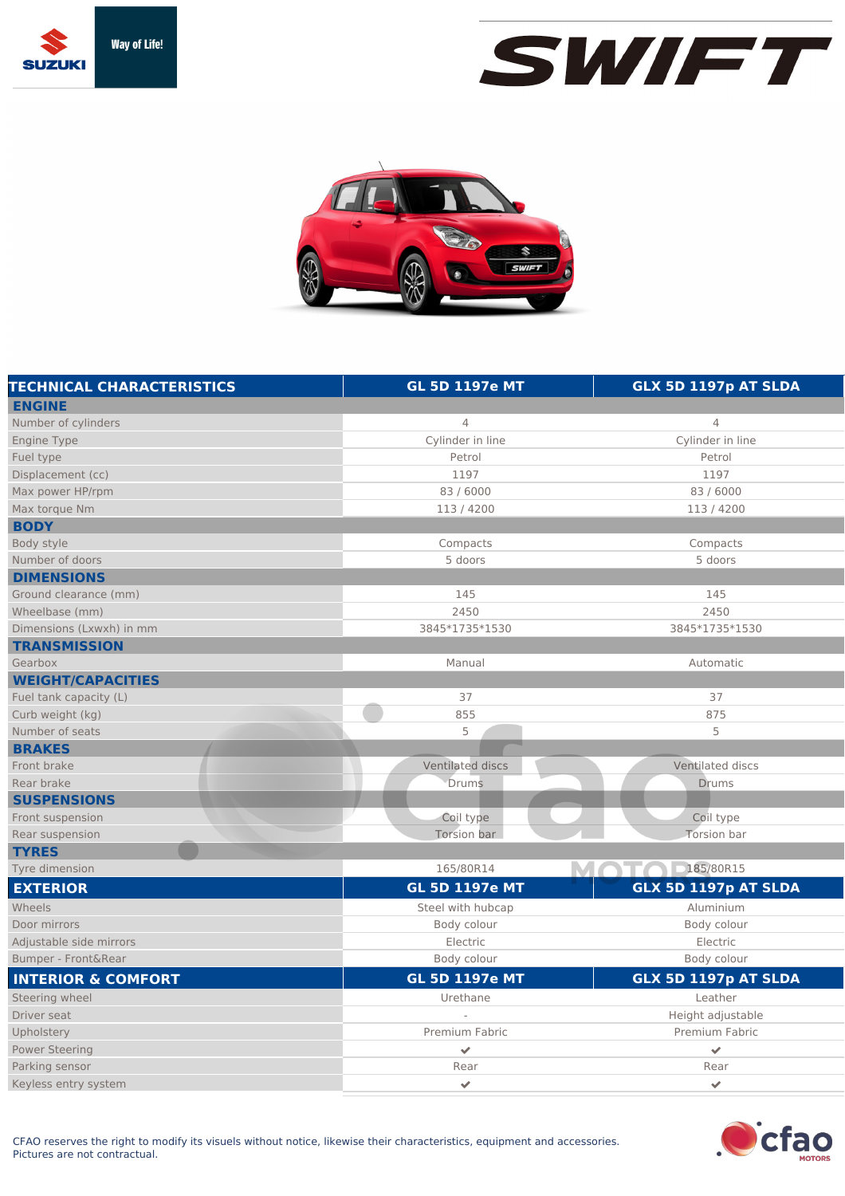





| <b>TECHNICAL CHARACTERISTICS</b> | <b>GL 5D 1197e MT</b> | GLX 5D 1197p AT SLDA     |
|----------------------------------|-----------------------|--------------------------|
| <b>ENGINE</b>                    |                       |                          |
| Number of cylinders              | 4                     | 4                        |
| Engine Type                      | Cylinder in line      | Cylinder in line         |
| Fuel type                        | Petrol                | Petrol                   |
| Displacement (cc)                | 1197                  | 1197                     |
| Max power HP/rpm                 | 83/6000               | 83 / 6000                |
| Max torque Nm                    | 113/4200              | 113/4200                 |
| <b>BODY</b>                      |                       |                          |
| Body style                       | Compacts              | Compacts                 |
| Number of doors                  | 5 doors               | 5 doors                  |
| <b>DIMENSIONS</b>                |                       |                          |
| Ground clearance (mm)            | 145                   | 145                      |
| Wheelbase (mm)                   | 2450                  | 2450                     |
| Dimensions (Lxwxh) in mm         | 3845*1735*1530        | 3845*1735*1530           |
| <b>TRANSMISSION</b>              |                       |                          |
| Gearbox                          | Manual                | Automatic                |
| <b>WEIGHT/CAPACITIES</b>         |                       |                          |
| Fuel tank capacity (L)           | 37                    | 37                       |
| Curb weight (kg)                 | 855                   | 875                      |
| Number of seats                  | 5                     | 5                        |
| <b>BRAKES</b>                    |                       |                          |
| Front brake                      | Ventilated discs      | Ventilated discs         |
| Rear brake                       | Drums                 | <b>Drums</b>             |
| <b>SUSPENSIONS</b>               |                       |                          |
| Front suspension                 | Coil type             | Coil type                |
| Rear suspension                  | Torsion bar           | <b>Torsion bar</b>       |
| <b>TYRES</b>                     |                       |                          |
| Tyre dimension                   | 165/80R14             | MOTO<br>185/80R15        |
| <b>EXTERIOR</b>                  | <b>GL 5D 1197e MT</b> | GLX 5D 1197p AT SLDA     |
| Wheels                           | Steel with hubcap     | Aluminium                |
| Door mirrors                     | Body colour           | Body colour              |
| Adjustable side mirrors          | Electric              | Electric                 |
| Bumper - Front&Rear              | Body colour           | Body colour              |
| <b>INTERIOR &amp; COMFORT</b>    | <b>GL 5D 1197e MT</b> | GLX 5D 1197p AT SLDA     |
| Steering wheel                   | Urethane              | Leather                  |
| Driver seat                      |                       | Height adjustable        |
| Upholstery                       | Premium Fabric        | Premium Fabric           |
| <b>Power Steering</b>            | $\mathcal{L}$         | $\overline{\mathscr{L}}$ |
| Parking sensor                   | Rear                  | Rear                     |
| Keyless entry system             | $\mathbf{v}$          | $\checkmark$             |